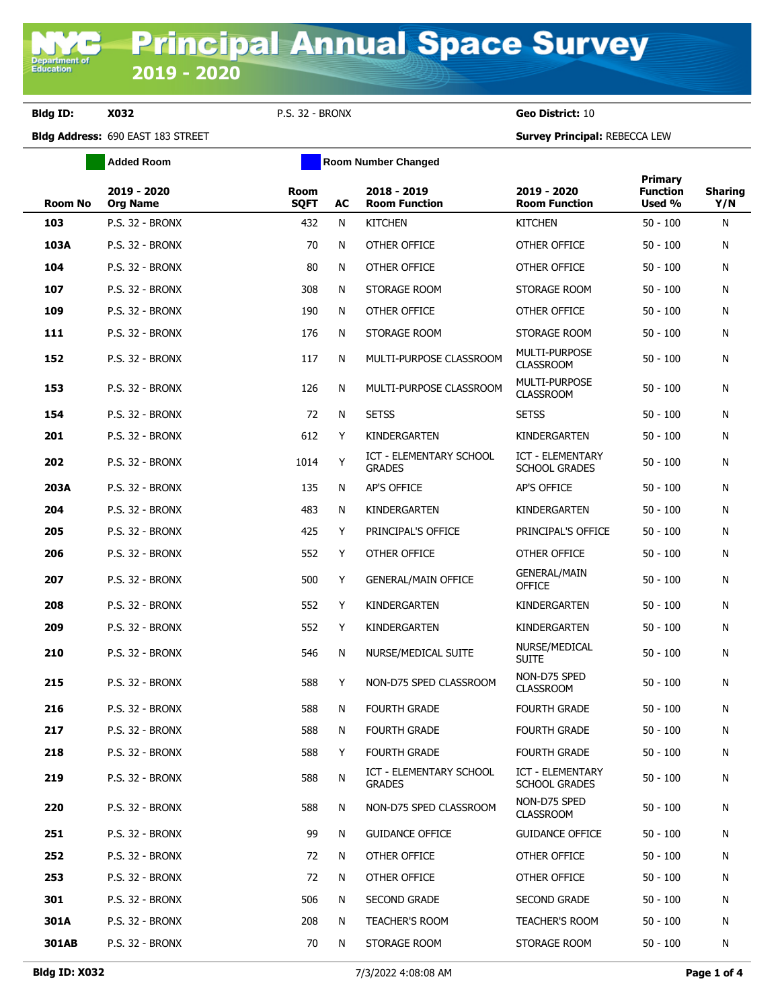**Department of**<br>Education

**Bldg ID: X032** P.S. 32 - BRONX **Geo District:** 10

**Bldg Address:** 690 EAST 183 STREET **Survey Principal:** REBECCA LEW

|                | <b>Added Room</b>              | <b>Room Number Changed</b> |    |                                          |                                          |                                      |                       |
|----------------|--------------------------------|----------------------------|----|------------------------------------------|------------------------------------------|--------------------------------------|-----------------------|
| <b>Room No</b> | 2019 - 2020<br><b>Org Name</b> | <b>Room</b><br><b>SQFT</b> | AC | 2018 - 2019<br><b>Room Function</b>      | 2019 - 2020<br><b>Room Function</b>      | Primary<br><b>Function</b><br>Used % | <b>Sharing</b><br>Y/N |
| 103            | P.S. 32 - BRONX                | 432                        | N  | <b>KITCHEN</b>                           | <b>KITCHEN</b>                           | $50 - 100$                           | N                     |
| 103A           | P.S. 32 - BRONX                | 70                         | N  | OTHER OFFICE                             | OTHER OFFICE                             | $50 - 100$                           | N                     |
| 104            | <b>P.S. 32 - BRONX</b>         | 80                         | N  | OTHER OFFICE                             | OTHER OFFICE                             | $50 - 100$                           | N                     |
| 107            | P.S. 32 - BRONX                | 308                        | N  | STORAGE ROOM                             | STORAGE ROOM                             | $50 - 100$                           | N                     |
| 109            | <b>P.S. 32 - BRONX</b>         | 190                        | N  | OTHER OFFICE                             | OTHER OFFICE                             | $50 - 100$                           | N                     |
| 111            | <b>P.S. 32 - BRONX</b>         | 176                        | N  | STORAGE ROOM                             | STORAGE ROOM                             | $50 - 100$                           | N                     |
| 152            | P.S. 32 - BRONX                | 117                        | N  | MULTI-PURPOSE CLASSROOM                  | MULTI-PURPOSE<br><b>CLASSROOM</b>        | $50 - 100$                           | N                     |
| 153            | P.S. 32 - BRONX                | 126                        | N  | MULTI-PURPOSE CLASSROOM                  | <b>MULTI-PURPOSE</b><br><b>CLASSROOM</b> | $50 - 100$                           | N                     |
| 154            | P.S. 32 - BRONX                | 72                         | N  | <b>SETSS</b>                             | <b>SETSS</b>                             | $50 - 100$                           | N                     |
| 201            | <b>P.S. 32 - BRONX</b>         | 612                        | Y  | KINDERGARTEN                             | KINDERGARTEN                             | $50 - 100$                           | N                     |
| 202            | P.S. 32 - BRONX                | 1014                       | Y  | ICT - ELEMENTARY SCHOOL<br><b>GRADES</b> | ICT - ELEMENTARY<br><b>SCHOOL GRADES</b> | $50 - 100$                           | N                     |
| 203A           | P.S. 32 - BRONX                | 135                        | N  | AP'S OFFICE                              | <b>AP'S OFFICE</b>                       | $50 - 100$                           | N                     |
| 204            | P.S. 32 - BRONX                | 483                        | N  | KINDERGARTEN                             | KINDERGARTEN                             | $50 - 100$                           | N                     |
| 205            | <b>P.S. 32 - BRONX</b>         | 425                        | Y  | PRINCIPAL'S OFFICE                       | PRINCIPAL'S OFFICE                       | $50 - 100$                           | N                     |
| 206            | <b>P.S. 32 - BRONX</b>         | 552                        | Y  | OTHER OFFICE                             | OTHER OFFICE                             | $50 - 100$                           | N                     |
| 207            | P.S. 32 - BRONX                | 500                        | Y  | <b>GENERAL/MAIN OFFICE</b>               | <b>GENERAL/MAIN</b><br><b>OFFICE</b>     | $50 - 100$                           | N                     |
| 208            | <b>P.S. 32 - BRONX</b>         | 552                        | Y  | KINDERGARTEN                             | KINDERGARTEN                             | $50 - 100$                           | N                     |
| 209            | <b>P.S. 32 - BRONX</b>         | 552                        | Y  | KINDERGARTEN                             | KINDERGARTEN                             | $50 - 100$                           | N                     |
| 210            | <b>P.S. 32 - BRONX</b>         | 546                        | N  | NURSE/MEDICAL SUITE                      | NURSE/MEDICAL<br><b>SUITE</b>            | $50 - 100$                           | N                     |
| 215            | <b>P.S. 32 - BRONX</b>         | 588                        | Y  | NON-D75 SPED CLASSROOM                   | NON-D75 SPED<br><b>CLASSROOM</b>         | $50 - 100$                           | N                     |
| 216            | <b>P.S. 32 - BRONX</b>         | 588                        | N  | <b>FOURTH GRADE</b>                      | <b>FOURTH GRADE</b>                      | $50 - 100$                           | N                     |
| 217            | P.S. 32 - BRONX                | 588                        | N  | FOURTH GRADE                             | FOURTH GRADE                             | $50 - 100$                           | N                     |
| 218            | <b>P.S. 32 - BRONX</b>         | 588                        | Y  | <b>FOURTH GRADE</b>                      | <b>FOURTH GRADE</b>                      | $50 - 100$                           | N                     |
| 219            | <b>P.S. 32 - BRONX</b>         | 588                        | N  | ICT - ELEMENTARY SCHOOL<br><b>GRADES</b> | ICT - ELEMENTARY<br><b>SCHOOL GRADES</b> | $50 - 100$                           | N                     |
| 220            | <b>P.S. 32 - BRONX</b>         | 588                        | N  | NON-D75 SPED CLASSROOM                   | NON-D75 SPED<br><b>CLASSROOM</b>         | $50 - 100$                           | N                     |
| 251            | P.S. 32 - BRONX                | 99                         | N  | <b>GUIDANCE OFFICE</b>                   | <b>GUIDANCE OFFICE</b>                   | $50 - 100$                           | N                     |
| 252            | <b>P.S. 32 - BRONX</b>         | 72                         | N  | OTHER OFFICE                             | OTHER OFFICE                             | $50 - 100$                           | N                     |
| 253            | <b>P.S. 32 - BRONX</b>         | 72                         | N  | OTHER OFFICE                             | OTHER OFFICE                             | $50 - 100$                           | N                     |
| 301            | <b>P.S. 32 - BRONX</b>         | 506                        | N  | <b>SECOND GRADE</b>                      | <b>SECOND GRADE</b>                      | $50 - 100$                           | N                     |
| 301A           | P.S. 32 - BRONX                | 208                        | N  | <b>TEACHER'S ROOM</b>                    | <b>TEACHER'S ROOM</b>                    | $50 - 100$                           | N                     |
| 301AB          | P.S. 32 - BRONX                | 70                         | N  | STORAGE ROOM                             | STORAGE ROOM                             | $50 - 100$                           | N                     |
|                |                                |                            |    |                                          |                                          |                                      |                       |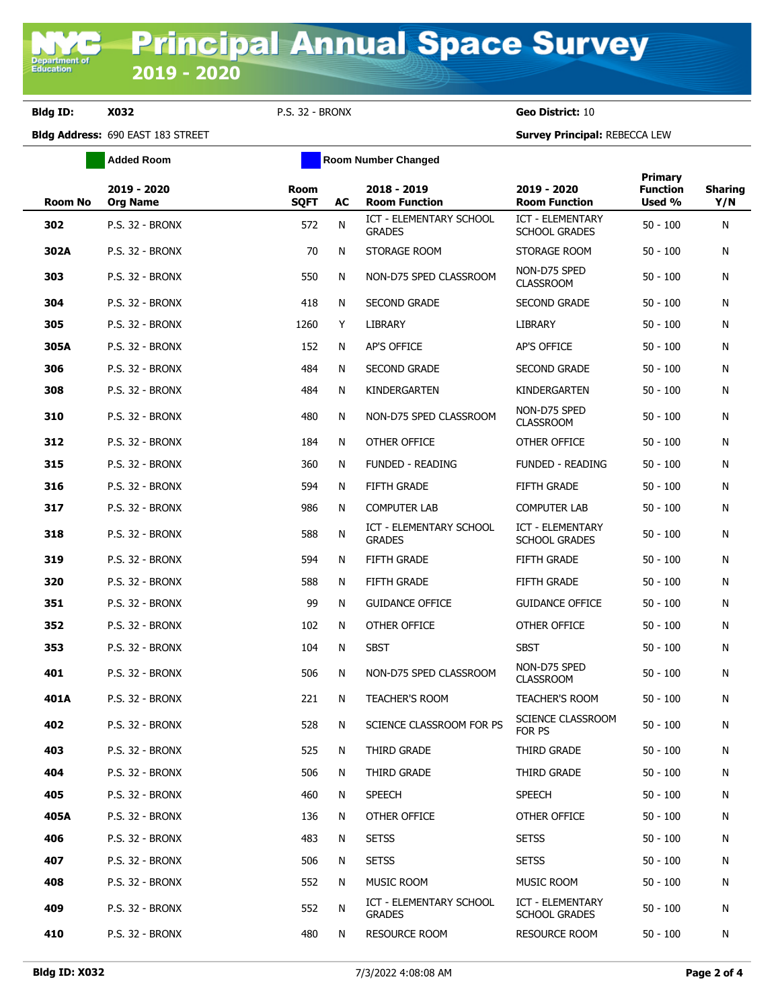**Bldg ID: X032** P.S. 32 - BRONX **Geo District:** 10

**Bldg Address:** 690 EAST 183 STREET **Survey Principal:** REBECCA LEW

|                | <b>Added Room</b>              |                     | <b>Room Number Changed</b> |                                          |                                                 |                                             |                       |
|----------------|--------------------------------|---------------------|----------------------------|------------------------------------------|-------------------------------------------------|---------------------------------------------|-----------------------|
| <b>Room No</b> | 2019 - 2020<br><b>Org Name</b> | Room<br><b>SQFT</b> | AC                         | 2018 - 2019<br><b>Room Function</b>      | 2019 - 2020<br><b>Room Function</b>             | <b>Primary</b><br><b>Function</b><br>Used % | <b>Sharing</b><br>Y/N |
| 302            | P.S. 32 - BRONX                | 572                 | N                          | ICT - ELEMENTARY SCHOOL<br><b>GRADES</b> | ICT - ELEMENTARY<br><b>SCHOOL GRADES</b>        | $50 - 100$                                  | N                     |
| 302A           | P.S. 32 - BRONX                | 70                  | N                          | STORAGE ROOM                             | STORAGE ROOM                                    | $50 - 100$                                  | N                     |
| 303            | P.S. 32 - BRONX                | 550                 | N                          | NON-D75 SPED CLASSROOM                   | NON-D75 SPED<br><b>CLASSROOM</b>                | $50 - 100$                                  | N                     |
| 304            | P.S. 32 - BRONX                | 418                 | N                          | <b>SECOND GRADE</b>                      | <b>SECOND GRADE</b>                             | $50 - 100$                                  | N                     |
| 305            | P.S. 32 - BRONX                | 1260                | Y                          | <b>LIBRARY</b>                           | LIBRARY                                         | $50 - 100$                                  | N                     |
| 305A           | <b>P.S. 32 - BRONX</b>         | 152                 | N                          | AP'S OFFICE                              | AP'S OFFICE                                     | $50 - 100$                                  | N                     |
| 306            | P.S. 32 - BRONX                | 484                 | N                          | <b>SECOND GRADE</b>                      | <b>SECOND GRADE</b>                             | $50 - 100$                                  | N                     |
| 308            | P.S. 32 - BRONX                | 484                 | N                          | KINDERGARTEN                             | KINDERGARTEN                                    | $50 - 100$                                  | N                     |
| 310            | P.S. 32 - BRONX                | 480                 | N                          | NON-D75 SPED CLASSROOM                   | NON-D75 SPED<br><b>CLASSROOM</b>                | $50 - 100$                                  | N                     |
| 312            | P.S. 32 - BRONX                | 184                 | N                          | OTHER OFFICE                             | OTHER OFFICE                                    | $50 - 100$                                  | N                     |
| 315            | <b>P.S. 32 - BRONX</b>         | 360                 | N                          | <b>FUNDED - READING</b>                  | <b>FUNDED - READING</b>                         | $50 - 100$                                  | N                     |
| 316            | P.S. 32 - BRONX                | 594                 | N                          | <b>FIFTH GRADE</b>                       | <b>FIFTH GRADE</b>                              | $50 - 100$                                  | N                     |
| 317            | P.S. 32 - BRONX                | 986                 | N                          | <b>COMPUTER LAB</b>                      | <b>COMPUTER LAB</b>                             | $50 - 100$                                  | N                     |
| 318            | <b>P.S. 32 - BRONX</b>         | 588                 | N                          | ICT - ELEMENTARY SCHOOL<br><b>GRADES</b> | <b>ICT - ELEMENTARY</b><br><b>SCHOOL GRADES</b> | $50 - 100$                                  | N                     |
| 319            | <b>P.S. 32 - BRONX</b>         | 594                 | N                          | FIFTH GRADE                              | <b>FIFTH GRADE</b>                              | $50 - 100$                                  | N                     |
| 320            | <b>P.S. 32 - BRONX</b>         | 588                 | N                          | <b>FIFTH GRADE</b>                       | <b>FIFTH GRADE</b>                              | $50 - 100$                                  | N                     |
| 351            | <b>P.S. 32 - BRONX</b>         | 99                  | N                          | <b>GUIDANCE OFFICE</b>                   | <b>GUIDANCE OFFICE</b>                          | $50 - 100$                                  | N                     |
| 352            | <b>P.S. 32 - BRONX</b>         | 102                 | N                          | OTHER OFFICE                             | OTHER OFFICE                                    | $50 - 100$                                  | N                     |
| 353            | <b>P.S. 32 - BRONX</b>         | 104                 | N                          | <b>SBST</b>                              | <b>SBST</b>                                     | $50 - 100$                                  | N                     |
| 401            | P.S. 32 - BRONX                | 506                 | N                          | NON-D75 SPED CLASSROOM                   | NON-D75 SPED<br><b>CLASSROOM</b>                | $50 - 100$                                  | N                     |
| 401A           | <b>P.S. 32 - BRONX</b>         | 221                 | N                          | <b>TEACHER'S ROOM</b>                    | <b>TEACHER'S ROOM</b>                           | $50 - 100$                                  | N                     |
| 402            | P.S. 32 - BRONX                |                     |                            | 528 N SCIENCE CLASSROOM FOR PS           | SCIENCE CLASSROOM<br>FOR PS                     | $50 - 100$                                  | N                     |
| 403            | P.S. 32 - BRONX                | 525                 | N                          | THIRD GRADE                              | THIRD GRADE                                     | $50 - 100$                                  | N                     |
| 404            | <b>P.S. 32 - BRONX</b>         | 506                 | N                          | THIRD GRADE                              | THIRD GRADE                                     | $50 - 100$                                  | N                     |
| 405            | <b>P.S. 32 - BRONX</b>         | 460                 | N                          | <b>SPEECH</b>                            | <b>SPEECH</b>                                   | $50 - 100$                                  | N                     |
| 405A           | <b>P.S. 32 - BRONX</b>         | 136                 | N                          | OTHER OFFICE                             | OTHER OFFICE                                    | $50 - 100$                                  | N                     |
| 406            | P.S. 32 - BRONX                | 483                 | N                          | <b>SETSS</b>                             | <b>SETSS</b>                                    | $50 - 100$                                  | N                     |
| 407            | P.S. 32 - BRONX                | 506                 | N                          | <b>SETSS</b>                             | <b>SETSS</b>                                    | $50 - 100$                                  | N                     |
| 408            | P.S. 32 - BRONX                | 552                 | N                          | MUSIC ROOM                               | <b>MUSIC ROOM</b>                               | $50 - 100$                                  | N                     |
| 409            | P.S. 32 - BRONX                | 552                 | N                          | ICT - ELEMENTARY SCHOOL<br><b>GRADES</b> | ICT - ELEMENTARY<br><b>SCHOOL GRADES</b>        | $50 - 100$                                  | N                     |
| 410            | P.S. 32 - BRONX                | 480                 | N                          | RESOURCE ROOM                            | <b>RESOURCE ROOM</b>                            | $50 - 100$                                  | N                     |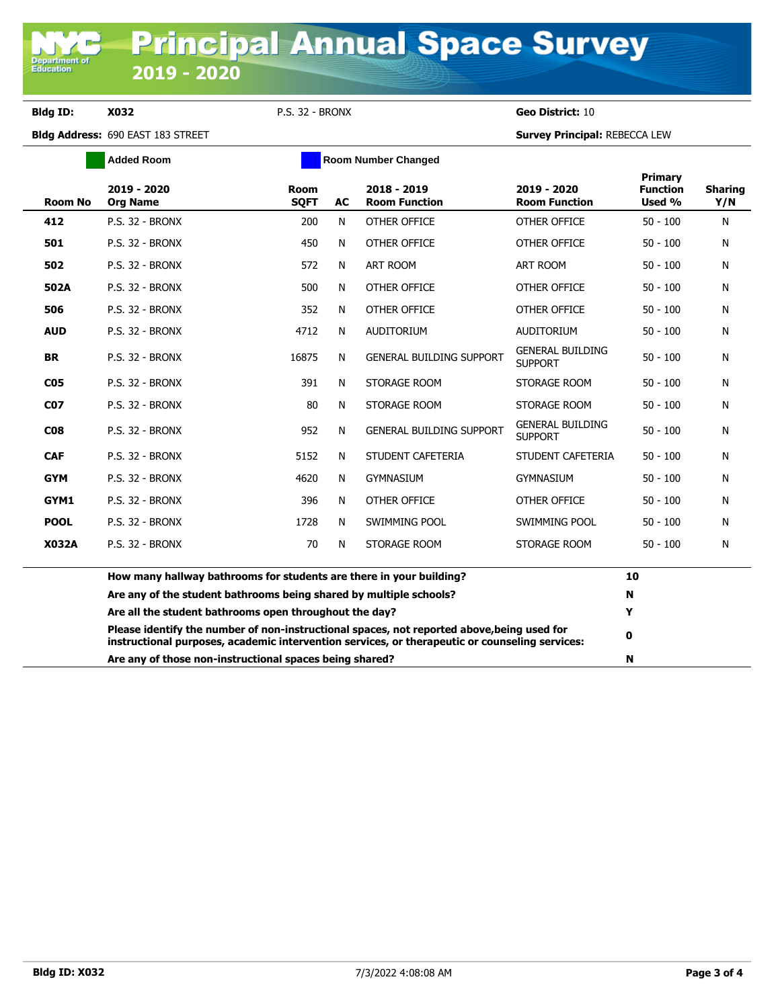## **Bldg ID: X032** P.S. 32 - BRONX **Geo District:** 10

Department of<br>Education

**Bldg Address:** 690 EAST 183 STREET **Survey Principal:** REBECCA LEW

|                 | <b>Added Room</b>                                                   | <b>Room Number Changed</b>                              |                                                                                                                                                                                              |                                     |                                           |                                      |                       |
|-----------------|---------------------------------------------------------------------|---------------------------------------------------------|----------------------------------------------------------------------------------------------------------------------------------------------------------------------------------------------|-------------------------------------|-------------------------------------------|--------------------------------------|-----------------------|
| <b>Room No</b>  | 2019 - 2020<br><b>Org Name</b>                                      | <b>Room</b><br><b>SOFT</b>                              | <b>AC</b>                                                                                                                                                                                    | 2018 - 2019<br><b>Room Function</b> | 2019 - 2020<br><b>Room Function</b>       | Primary<br><b>Function</b><br>Used % | <b>Sharing</b><br>Y/N |
| 412             | P.S. 32 - BRONX                                                     | 200                                                     | N                                                                                                                                                                                            | OTHER OFFICE                        | OTHER OFFICE                              | $50 - 100$                           | N                     |
| 501             | <b>P.S. 32 - BRONX</b>                                              | 450                                                     | N                                                                                                                                                                                            | OTHER OFFICE                        | OTHER OFFICE                              | $50 - 100$                           | N                     |
| 502             | <b>P.S. 32 - BRONX</b>                                              | 572                                                     | N                                                                                                                                                                                            | <b>ART ROOM</b>                     | <b>ART ROOM</b>                           | $50 - 100$                           | N                     |
| 502A            | <b>P.S. 32 - BRONX</b>                                              | 500                                                     | N                                                                                                                                                                                            | OTHER OFFICE                        | OTHER OFFICE                              | $50 - 100$                           | N                     |
| 506             | P.S. 32 - BRONX                                                     | 352                                                     | N                                                                                                                                                                                            | OTHER OFFICE                        | OTHER OFFICE                              | $50 - 100$                           | N                     |
| <b>AUD</b>      | P.S. 32 - BRONX                                                     | 4712                                                    | N                                                                                                                                                                                            | <b>AUDITORIUM</b>                   | <b>AUDITORIUM</b>                         | $50 - 100$                           | N                     |
| <b>BR</b>       | <b>P.S. 32 - BRONX</b>                                              | 16875                                                   | N                                                                                                                                                                                            | <b>GENERAL BUILDING SUPPORT</b>     | <b>GENERAL BUILDING</b><br><b>SUPPORT</b> | $50 - 100$                           | N                     |
| C <sub>05</sub> | P.S. 32 - BRONX                                                     | 391                                                     | N                                                                                                                                                                                            | STORAGE ROOM                        | STORAGE ROOM                              | $50 - 100$                           | N                     |
| <b>C07</b>      | P.S. 32 - BRONX                                                     | 80                                                      | N                                                                                                                                                                                            | STORAGE ROOM                        | STORAGE ROOM                              | $50 - 100$                           | N                     |
| C <sub>08</sub> | P.S. 32 - BRONX                                                     | 952                                                     | N                                                                                                                                                                                            | <b>GENERAL BUILDING SUPPORT</b>     | <b>GENERAL BUILDING</b><br><b>SUPPORT</b> | $50 - 100$                           | N                     |
| <b>CAF</b>      | <b>P.S. 32 - BRONX</b>                                              | 5152                                                    | N                                                                                                                                                                                            | STUDENT CAFETERIA                   | STUDENT CAFETERIA                         | $50 - 100$                           | N                     |
| <b>GYM</b>      | P.S. 32 - BRONX                                                     | 4620                                                    | N                                                                                                                                                                                            | <b>GYMNASIUM</b>                    | <b>GYMNASIUM</b>                          | $50 - 100$                           | N                     |
| GYM1            | P.S. 32 - BRONX                                                     | 396                                                     | N                                                                                                                                                                                            | OTHER OFFICE                        | OTHER OFFICE                              | $50 - 100$                           | N                     |
| <b>POOL</b>     | P.S. 32 - BRONX                                                     | 1728                                                    | N                                                                                                                                                                                            | SWIMMING POOL                       | SWIMMING POOL                             | $50 - 100$                           | N                     |
| <b>X032A</b>    | P.S. 32 - BRONX                                                     | 70                                                      | N                                                                                                                                                                                            | STORAGE ROOM                        | STORAGE ROOM                              | $50 - 100$                           | N                     |
|                 | How many hallway bathrooms for students are there in your building? |                                                         |                                                                                                                                                                                              |                                     |                                           | 10                                   |                       |
|                 | Are any of the student bathrooms being shared by multiple schools?  |                                                         |                                                                                                                                                                                              |                                     | N                                         |                                      |                       |
|                 | Are all the student bathrooms open throughout the day?              |                                                         |                                                                                                                                                                                              |                                     |                                           | Y                                    |                       |
|                 |                                                                     |                                                         | Please identify the number of non-instructional spaces, not reported above, being used for<br>instructional purposes, academic intervention services, or therapeutic or counseling services: |                                     |                                           |                                      |                       |
|                 |                                                                     | Are any of those non-instructional spaces being shared? |                                                                                                                                                                                              |                                     |                                           |                                      |                       |